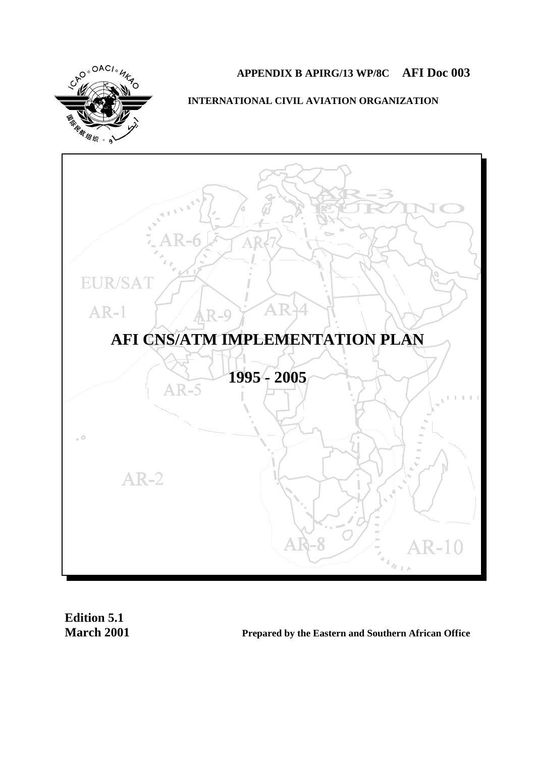

# **APPENDIX B APIRG/13 WP/8C AFI Doc 003**

**INTERNATIONAL CIVIL AVIATION ORGANIZATION**



**Edition 5.1**

**March 2001 Prepared by the Eastern and Southern African Office**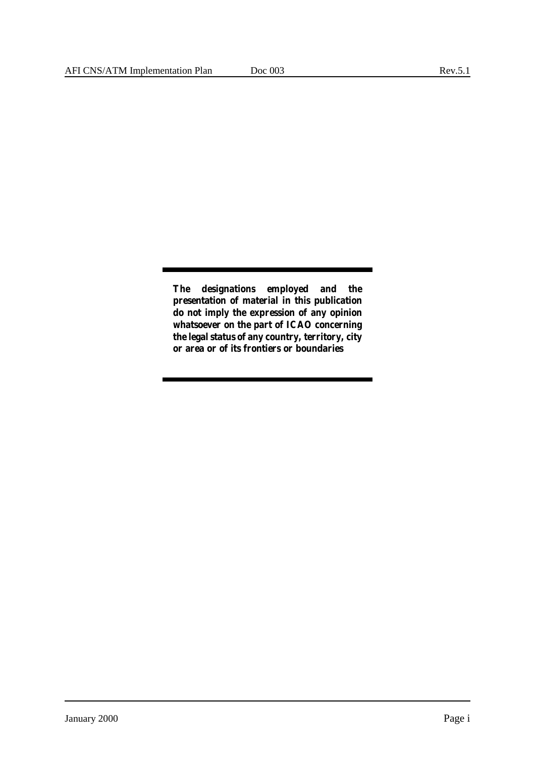**The designations employed and the presentation of material in this publication do not imply the expression of any opinion whatsoever on the part of ICAO concerning the legal status of any country, territory, city or area or of its frontiers or boundaries**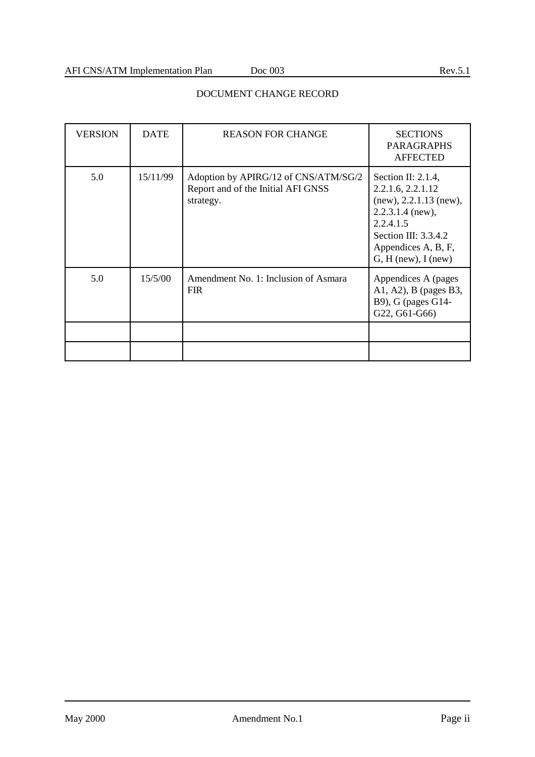| <b>VERSION</b> | <b>DATE</b> | <b>REASON FOR CHANGE</b>                                                                | <b>SECTIONS</b><br><b>PARAGRAPHS</b><br><b>AFFECTED</b>                                                                                                                           |
|----------------|-------------|-----------------------------------------------------------------------------------------|-----------------------------------------------------------------------------------------------------------------------------------------------------------------------------------|
| 5.0            | 15/11/99    | Adoption by APIRG/12 of CNS/ATM/SG/2<br>Report and of the Initial AFI GNSS<br>strategy. | Section II: $2.1.4$ ,<br>2.2.1.6, 2.2.1.12<br>(new), 2.2.1.13 (new),<br>$2.2.3.1.4$ (new),<br>2.2.4.1.5<br>Section III: $3.3.4.2$<br>Appendices A, B, F,<br>$G, H$ (new), I (new) |
| 5.0            | 15/5/00     | Amendment No. 1: Inclusion of Asmara<br><b>FIR</b>                                      | Appendices A (pages<br>A1, A2), B (pages B3,<br>B9), G (pages G14-<br>G22, G61-G66)                                                                                               |
|                |             |                                                                                         |                                                                                                                                                                                   |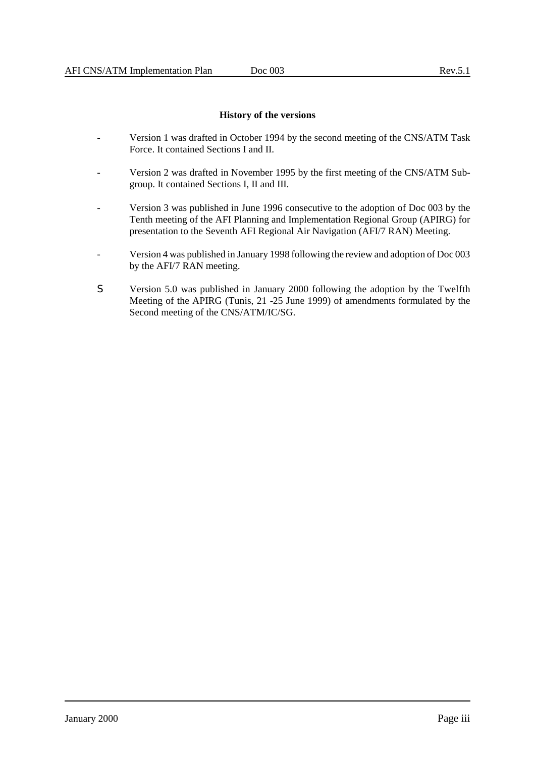### **History of the versions**

- Version 1 was drafted in October 1994 by the second meeting of the CNS/ATM Task Force. It contained Sections I and II.
- Version 2 was drafted in November 1995 by the first meeting of the CNS/ATM Subgroup. It contained Sections I, II and III.
- Version 3 was published in June 1996 consecutive to the adoption of Doc 003 by the Tenth meeting of the AFI Planning and Implementation Regional Group (APIRG) for presentation to the Seventh AFI Regional Air Navigation (AFI/7 RAN) Meeting.
- Version 4 was published in January 1998 following the review and adoption of Doc 003 by the AFI/7 RAN meeting.
- S Version 5.0 was published in January 2000 following the adoption by the Twelfth Meeting of the APIRG (Tunis, 21 -25 June 1999) of amendments formulated by the Second meeting of the CNS/ATM/IC/SG.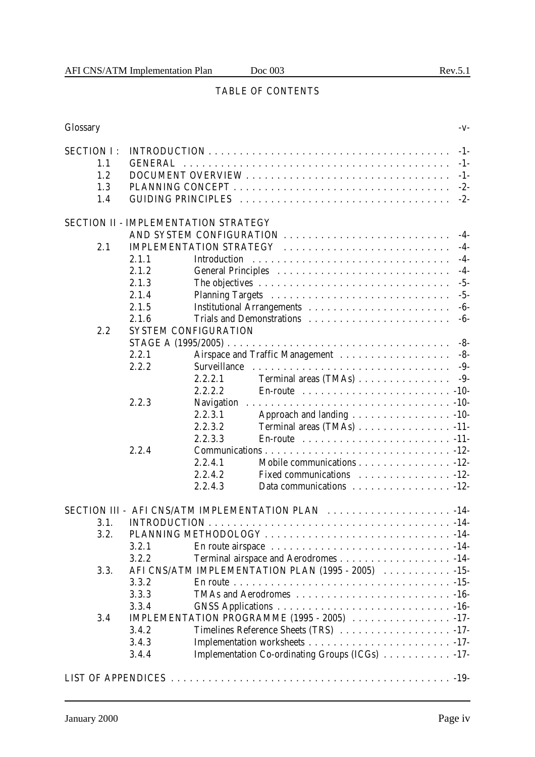# TABLE OF CONTENTS

| Glossary          |                                                     |                                      |                                                                               | $-V$ - |
|-------------------|-----------------------------------------------------|--------------------------------------|-------------------------------------------------------------------------------|--------|
| <b>SECTION I:</b> |                                                     |                                      |                                                                               | $-1-$  |
| 1.1               | <b>GENERAL</b><br>$-1-$                             |                                      |                                                                               |        |
| 1.2               | $-1-$                                               |                                      |                                                                               |        |
| 1.3               | $-2-$                                               |                                      |                                                                               |        |
| 1.4               |                                                     |                                      |                                                                               | $-2-$  |
|                   |                                                     |                                      |                                                                               |        |
|                   |                                                     | SECTION II - IMPLEMENTATION STRATEGY |                                                                               |        |
|                   |                                                     |                                      | AND SYSTEM CONFIGURATION                                                      | $-4-$  |
| 2.1               |                                                     |                                      | IMPLEMENTATION STRATEGY                                                       | $-4-$  |
|                   | 2.1.1                                               | Introduction                         |                                                                               | $-4-$  |
|                   | 2.1.2                                               |                                      |                                                                               | $-4-$  |
|                   | 2.1.3                                               |                                      |                                                                               | $-5-$  |
|                   | 2.1.4                                               |                                      |                                                                               | $-5-$  |
|                   | 2.1.5                                               |                                      |                                                                               | $-6-$  |
|                   | 2.1.6                                               |                                      |                                                                               | $-6-$  |
| 2.2               |                                                     | <b>SYSTEM CONFIGURATION</b>          |                                                                               |        |
|                   |                                                     |                                      |                                                                               | $-8-$  |
|                   | 2.2.1                                               |                                      |                                                                               |        |
|                   | 2.2.2                                               | Surveillance                         |                                                                               | $-9-$  |
|                   |                                                     | 2.2.2.1                              | Terminal areas (TMAs)                                                         | -9-    |
|                   |                                                     | 2.2.2.2                              | En-route $\ldots \ldots \ldots \ldots \ldots \ldots \ldots \ldots \ldots -10$ |        |
|                   | 2.2.3                                               |                                      |                                                                               |        |
|                   |                                                     | 2.2.3.1                              | Approach and landing 10-                                                      |        |
|                   |                                                     | 2.2.3.2                              | Terminal areas (TMAs) 11-                                                     |        |
|                   |                                                     | 2.2.3.3                              | En-route $\ldots \ldots \ldots \ldots \ldots \ldots \ldots \ldots -11$        |        |
|                   | 2.2.4                                               |                                      |                                                                               |        |
|                   |                                                     | 2.2.4.1                              | Mobile communications - 12-                                                   |        |
|                   |                                                     | 2.2.4.2                              | Fixed communications 12-                                                      |        |
|                   |                                                     | 2.2.4.3                              | Data communications 12-                                                       |        |
|                   |                                                     |                                      |                                                                               |        |
|                   |                                                     |                                      | SECTION III - AFI CNS/ATM IMPLEMENTATION PLAN                                 |        |
| 3.1.              |                                                     |                                      |                                                                               |        |
| 3.2.              |                                                     |                                      |                                                                               |        |
|                   | 3.2.1                                               |                                      |                                                                               |        |
|                   | 3.2.2<br>Terminal airspace and Aerodromes 14-       |                                      |                                                                               |        |
| 3.3.              | AFI CNS/ATM IMPLEMENTATION PLAN (1995 - 2005)  -15- |                                      |                                                                               |        |
|                   | 3.3.2                                               |                                      |                                                                               |        |
|                   | 3.3.3                                               |                                      |                                                                               |        |
|                   | 3.3.4                                               |                                      |                                                                               |        |
| 3.4               | IMPLEMENTATION PROGRAMME (1995 - 2005) 17-          |                                      |                                                                               |        |
|                   | 3.4.2<br>Timelines Reference Sheets (TRS) 17-       |                                      |                                                                               |        |
|                   | 3.4.3                                               |                                      |                                                                               |        |
|                   | 3.4.4                                               |                                      | Implementation Co-ordinating Groups (ICGs) 17-                                |        |
|                   |                                                     |                                      |                                                                               |        |
|                   |                                                     |                                      |                                                                               |        |
|                   |                                                     |                                      |                                                                               |        |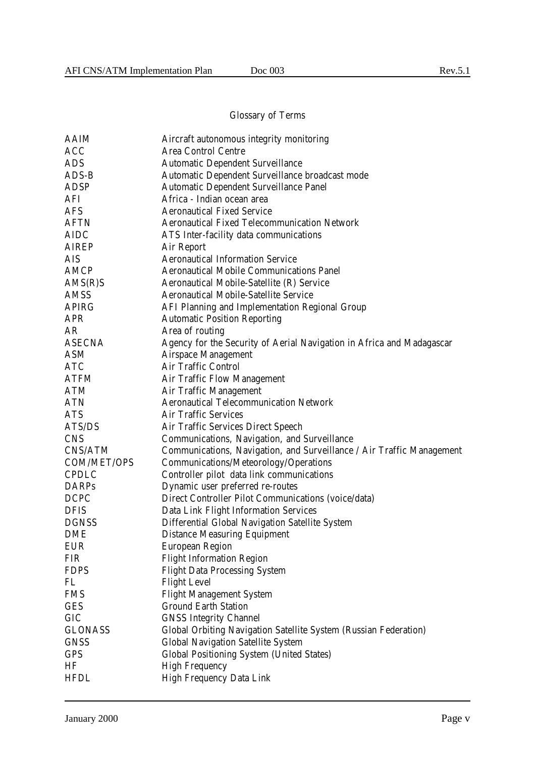# Glossary of Terms

| AAIM           | Aircraft autonomous integrity monitoring                              |
|----------------|-----------------------------------------------------------------------|
| <b>ACC</b>     | <b>Area Control Centre</b>                                            |
| <b>ADS</b>     | <b>Automatic Dependent Surveillance</b>                               |
| ADS-B          | Automatic Dependent Surveillance broadcast mode                       |
| <b>ADSP</b>    | Automatic Dependent Surveillance Panel                                |
| AFI            | Africa - Indian ocean area                                            |
| <b>AFS</b>     | <b>Aeronautical Fixed Service</b>                                     |
| <b>AFTN</b>    | <b>Aeronautical Fixed Telecommunication Network</b>                   |
| <b>AIDC</b>    | ATS Inter-facility data communications                                |
| <b>AIREP</b>   | Air Report                                                            |
| <b>AIS</b>     | <b>Aeronautical Information Service</b>                               |
| AMCP           | <b>Aeronautical Mobile Communications Panel</b>                       |
| AMS(R)         | Aeronautical Mobile-Satellite (R) Service                             |
| <b>AMSS</b>    | <b>Aeronautical Mobile-Satellite Service</b>                          |
| <b>APIRG</b>   | AFI Planning and Implementation Regional Group                        |
| <b>APR</b>     | <b>Automatic Position Reporting</b>                                   |
| AR             | Area of routing                                                       |
| <b>ASECNA</b>  | Agency for the Security of Aerial Navigation in Africa and Madagascar |
| <b>ASM</b>     | <b>Airspace Management</b>                                            |
| <b>ATC</b>     | <b>Air Traffic Control</b>                                            |
| ATFM           | <b>Air Traffic Flow Management</b>                                    |
| <b>ATM</b>     | <b>Air Traffic Management</b>                                         |
| <b>ATN</b>     | <b>Aeronautical Telecommunication Network</b>                         |
| <b>ATS</b>     | <b>Air Traffic Services</b>                                           |
| ATS/DS         | Air Traffic Services Direct Speech                                    |
| <b>CNS</b>     | Communications, Navigation, and Surveillance                          |
| CNS/ATM        | Communications, Navigation, and Surveillance / Air Traffic Management |
| COM/MET/OPS    | Communications/Meteorology/Operations                                 |
| <b>CPDLC</b>   | Controller pilot data link communications                             |
| <b>DARPs</b>   | Dynamic user preferred re-routes                                      |
| <b>DCPC</b>    | Direct Controller Pilot Communications (voice/data)                   |
| <b>DFIS</b>    | Data Link Flight Information Services                                 |
| <b>DGNSS</b>   | Differential Global Navigation Satellite System                       |
| <b>DME</b>     | <b>Distance Measuring Equipment</b>                                   |
| <b>EUR</b>     | <b>European Region</b>                                                |
| <b>FIR</b>     | <b>Flight Information Region</b>                                      |
| <b>FDPS</b>    | <b>Flight Data Processing System</b>                                  |
| FL             | <b>Flight Level</b>                                                   |
| <b>FMS</b>     | <b>Flight Management System</b>                                       |
| <b>GES</b>     | <b>Ground Earth Station</b>                                           |
| GIC            | <b>GNSS Integrity Channel</b>                                         |
| <b>GLONASS</b> | Global Orbiting Navigation Satellite System (Russian Federation)      |
| <b>GNSS</b>    | <b>Global Navigation Satellite System</b>                             |
| <b>GPS</b>     | <b>Global Positioning System (United States)</b>                      |
| HF             | <b>High Frequency</b>                                                 |
| <b>HFDL</b>    | <b>High Frequency Data Link</b>                                       |
|                |                                                                       |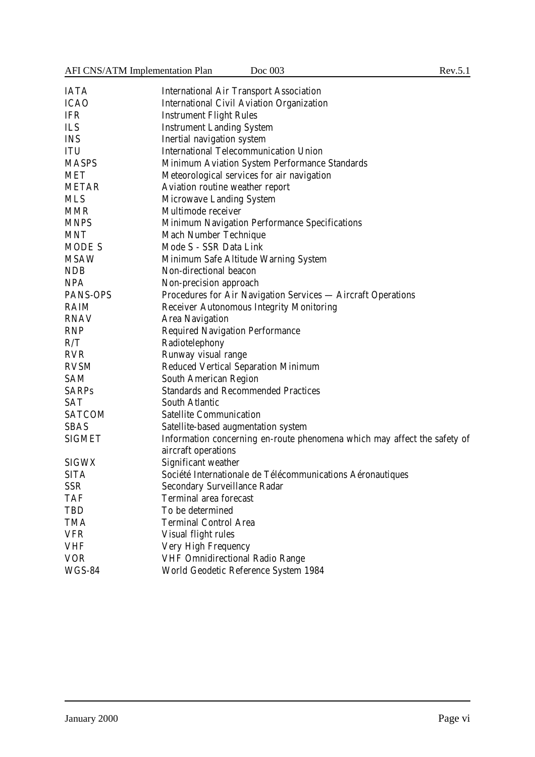AFI CNS/ATM Implementation Plan Doc 003 Rev.5.1

| <b>IATA</b><br><b>International Air Transport Association</b>   |                                                                          |
|-----------------------------------------------------------------|--------------------------------------------------------------------------|
| <b>ICAO</b><br><b>International Civil Aviation Organization</b> |                                                                          |
| <b>IFR</b><br><b>Instrument Flight Rules</b>                    |                                                                          |
| ILS<br><b>Instrument Landing System</b>                         |                                                                          |
| <b>INS</b><br>Inertial navigation system                        |                                                                          |
| <b>International Telecommunication Union</b><br><b>ITU</b>      |                                                                          |
| <b>MASPS</b>                                                    | Minimum Aviation System Performance Standards                            |
| MET<br>Meteorological services for air navigation               |                                                                          |
| Aviation routine weather report<br><b>METAR</b>                 |                                                                          |
| <b>MLS</b><br><b>Microwave Landing System</b>                   |                                                                          |
| <b>MMR</b><br>Multimode receiver                                |                                                                          |
| <b>MNPS</b>                                                     | Minimum Navigation Performance Specifications                            |
| <b>MNT</b><br><b>Mach Number Technique</b>                      |                                                                          |
| Mode S - SSR Data Link<br><b>MODE S</b>                         |                                                                          |
| <b>MSAW</b><br>Minimum Safe Altitude Warning System             |                                                                          |
| <b>NDB</b><br>Non-directional beacon                            |                                                                          |
| <b>NPA</b><br>Non-precision approach                            |                                                                          |
| PANS-OPS                                                        | Procedures for Air Navigation Services - Aircraft Operations             |
| <b>RAIM</b><br><b>Receiver Autonomous Integrity Monitoring</b>  |                                                                          |
| <b>RNAV</b><br><b>Area Navigation</b>                           |                                                                          |
| <b>RNP</b><br><b>Required Navigation Performance</b>            |                                                                          |
| R/T<br>Radiotelephony                                           |                                                                          |
| <b>RVR</b><br>Runway visual range                               |                                                                          |
| Reduced Vertical Separation Minimum<br><b>RVSM</b>              |                                                                          |
| South American Region<br><b>SAM</b>                             |                                                                          |
| <b>SARPs</b><br><b>Standards and Recommended Practices</b>      |                                                                          |
| <b>SAT</b><br>South Atlantic                                    |                                                                          |
| <b>SATCOM</b><br><b>Satellite Communication</b>                 |                                                                          |
| <b>SBAS</b><br>Satellite-based augmentation system              |                                                                          |
| <b>SIGMET</b>                                                   | Information concerning en-route phenomena which may affect the safety of |
| aircraft operations                                             |                                                                          |
| Significant weather<br><b>SIGWX</b>                             |                                                                          |
| <b>SITA</b>                                                     | Société Internationale de Télécommunications Aéronautiques               |
| <b>SSR</b><br><b>Secondary Surveillance Radar</b>               |                                                                          |
| <b>TAF</b><br><b>Terminal area forecast</b>                     |                                                                          |
| To be determined<br>TBD                                         |                                                                          |
| TMA<br><b>Terminal Control Area</b>                             |                                                                          |
| <b>VFR</b><br>Visual flight rules                               |                                                                          |
| <b>VHF</b><br>Very High Frequency                               |                                                                          |
| <b>VOR</b><br><b>VHF Omnidirectional Radio Range</b>            |                                                                          |
| <b>WGS-84</b><br>World Geodetic Reference System 1984           |                                                                          |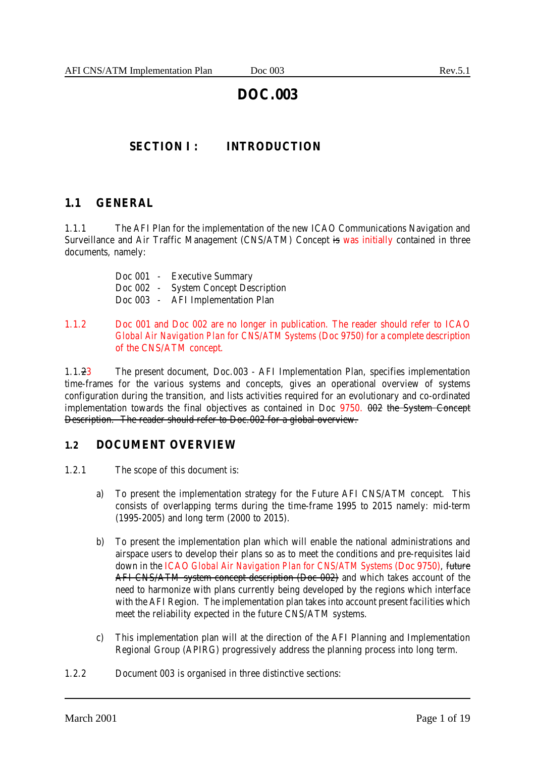# **DOC.003**

# **SECTION I : INTRODUCTION**

# **1.1 GENERAL**

1.1.1 The AFI Plan for the implementation of the new ICAO Communications Navigation and Surveillance and Air Traffic Management (CNS/ATM) Concept is was initially contained in three documents, namely:

| Doc 001 | $\sim 100$ | <b>Executive Summary</b>       |
|---------|------------|--------------------------------|
| Doc 002 |            | - System Concept Description   |
| Doc 003 | $\sim$     | <b>AFI</b> Implementation Plan |

## 1.1.2 Doc 001 and Doc 002 are no longer in publication. The reader should refer to ICAO *Global Air Navigation Plan for CNS/ATM Systems* (Doc 9750) for a complete description of the CNS/ATM concept.

1.1.23 The present document, Doc.003 - AFI Implementation Plan, specifies implementation time-frames for the various systems and concepts, gives an operational overview of systems configuration during the transition, and lists activities required for an evolutionary and co-ordinated implementation towards the final objectives as contained in Doc 9750. 002 the System Concept Description. The reader should refer to Doc.002 for a global overview.

# **1.2 DOCUMENT OVERVIEW**

- 1.2.1 The scope of this document is:
	- a) To present the implementation strategy for the Future AFI CNS/ATM concept. This consists of overlapping terms during the time-frame 1995 to 2015 namely: mid-term (1995-2005) and long term (2000 to 2015).
	- b) To present the implementation plan which will enable the national administrations and airspace users to develop their plans so as to meet the conditions and pre-requisites laid down in the ICAO *Global Air Navigation Plan for CNS/ATM Systems* (Doc 9750), future AFI CNS/ATM system concept description (Doc 002) and which takes account of the need to harmonize with plans currently being developed by the regions which interface with the AFI Region. The implementation plan takes into account present facilities which meet the reliability expected in the future CNS/ATM systems.
	- c) This implementation plan will at the direction of the AFI Planning and Implementation Regional Group (APIRG) progressively address the planning process into long term.
- 1.2.2 Document 003 is organised in three distinctive sections: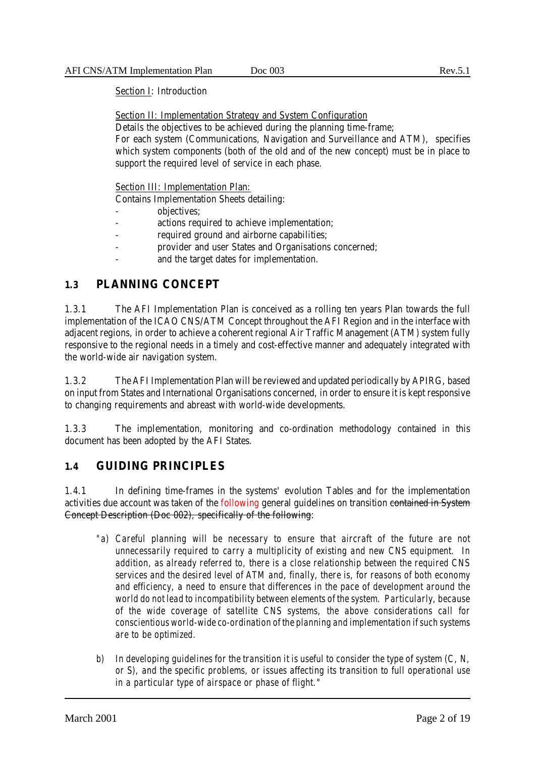# Section I: Introduction

Section II: Implementation Strategy and System Configuration

Details the objectives to be achieved during the planning time-frame;

For each system (Communications, Navigation and Surveillance and ATM), specifies which system components (both of the old and of the new concept) must be in place to support the required level of service in each phase.

Section III: Implementation Plan:

Contains Implementation Sheets detailing:

- objectives;
- actions required to achieve implementation;
- required ground and airborne capabilities;
- provider and user States and Organisations concerned;
- and the target dates for implementation.

# **1.3 PLANNING CONCEPT**

1.3.1 The AFI Implementation Plan is conceived as a rolling ten years Plan towards the full implementation of the ICAO CNS/ATM Concept throughout the AFI Region and in the interface with adjacent regions, in order to achieve a coherent regional Air Traffic Management (ATM) system fully responsive to the regional needs in a timely and cost-effective manner and adequately integrated with the world-wide air navigation system.

1.3.2 The AFI Implementation Plan will be reviewed and updated periodically by APIRG, based on input from States and International Organisations concerned, in order to ensure it is kept responsive to changing requirements and abreast with world-wide developments.

1.3.3 The implementation, monitoring and co-ordination methodology contained in this document has been adopted by the AFI States.

# **1.4 GUIDING PRINCIPLES**

1.4.1 In defining time-frames in the systems' evolution Tables and for the implementation activities due account was taken of the following general guidelines on transition contained in System Concept Description (Doc 002), specifically of the following:

- *"a) Careful planning will be necessary to ensure that aircraft of the future are not unnecessarily required to carry a multiplicity of existing and new CNS equipment. In addition, as already referred to, there is a close relationship between the required CNS services and the desired level of ATM and, finally, there is, for reasons of both economy and efficiency, a need to ensure that differences in the pace of development around the world do not lead to incompatibility between elements of the system. Particularly, because of the wide coverage of satellite CNS systems, the above considerations call for conscientious world-wide co-ordination of the planning and implementation if such systems are to be optimized.*
- *b) In developing guidelines for the transition it is useful to consider the type of system (C, N, or S), and the specific problems, or issues affecting its transition to full operational use in a particular type of airspace or phase of flight."*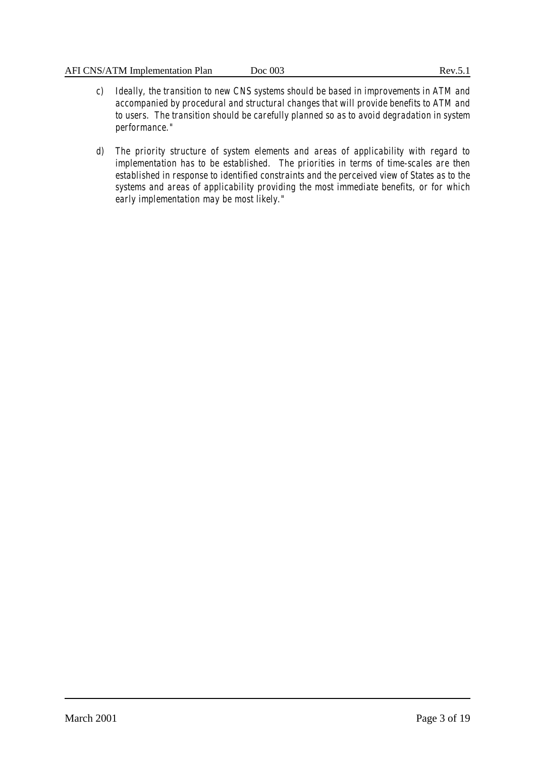- *c) Ideally, the transition to new CNS systems should be based in improvements in ATM and accompanied by procedural and structural changes that will provide benefits to ATM and to users. The transition should be carefully planned so as to avoid degradation in system performance."*
- *d) The priority structure of system elements and areas of applicability with regard to implementation has to be established. The priorities in terms of time-scales are then established in response to identified constraints and the perceived view of States as to the systems and areas of applicability providing the most immediate benefits, or for which early implementation may be most likely."*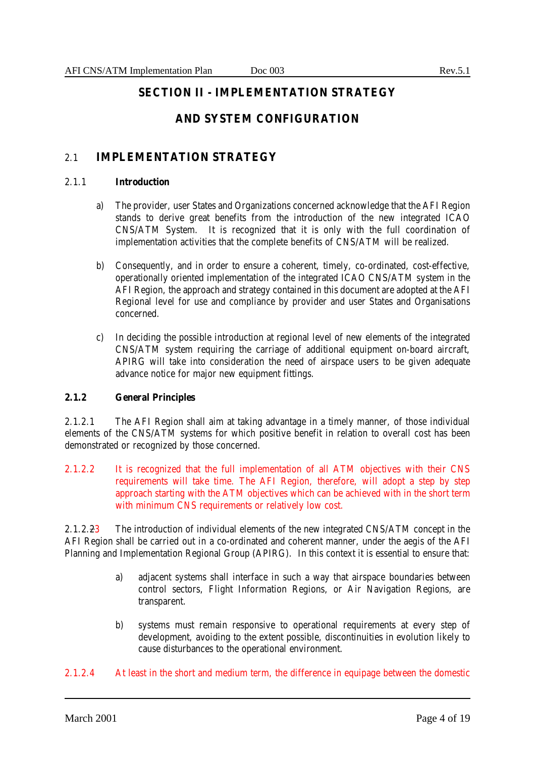# **SECTION II - IMPLEMENTATION STRATEGY**

# **AND SYSTEM CONFIGURATION**

# 2.1 **IMPLEMENTATION STRATEGY**

#### 2.1.1 **Introduction**

- a) The provider, user States and Organizations concerned acknowledge that the AFI Region stands to derive great benefits from the introduction of the new integrated ICAO CNS/ATM System. It is recognized that it is only with the full coordination of implementation activities that the complete benefits of CNS/ATM will be realized.
- b) Consequently, and in order to ensure a coherent, timely, co-ordinated, cost-effective, operationally oriented implementation of the integrated ICAO CNS/ATM system in the AFI Region, the approach and strategy contained in this document are adopted at the AFI Regional level for use and compliance by provider and user States and Organisations concerned.
- c) In deciding the possible introduction at regional level of new elements of the integrated CNS/ATM system requiring the carriage of additional equipment on-board aircraft, APIRG will take into consideration the need of airspace users to be given adequate advance notice for major new equipment fittings.

# **2.1.2 General Principles**

2.1.2.1 The AFI Region shall aim at taking advantage in a timely manner, of those individual elements of the CNS/ATM systems for which positive benefit in relation to overall cost has been demonstrated or recognized by those concerned.

2.1.2.2 It is recognized that the full implementation of all ATM objectives with their CNS requirements will take time. The AFI Region, therefore, will adopt a step by step approach starting with the ATM objectives which can be achieved with in the short term with minimum CNS requirements or relatively low cost.

2.1.2.23 The introduction of individual elements of the new integrated CNS/ATM concept in the AFI Region shall be carried out in a co-ordinated and coherent manner, under the aegis of the AFI Planning and Implementation Regional Group (APIRG). In this context it is essential to ensure that:

- a) adjacent systems shall interface in such a way that airspace boundaries between control sectors, Flight Information Regions, or Air Navigation Regions, are transparent.
- b) systems must remain responsive to operational requirements at every step of development, avoiding to the extent possible, discontinuities in evolution likely to cause disturbances to the operational environment.
- 2.1.2.4 At least in the short and medium term, the difference in equipage between the domestic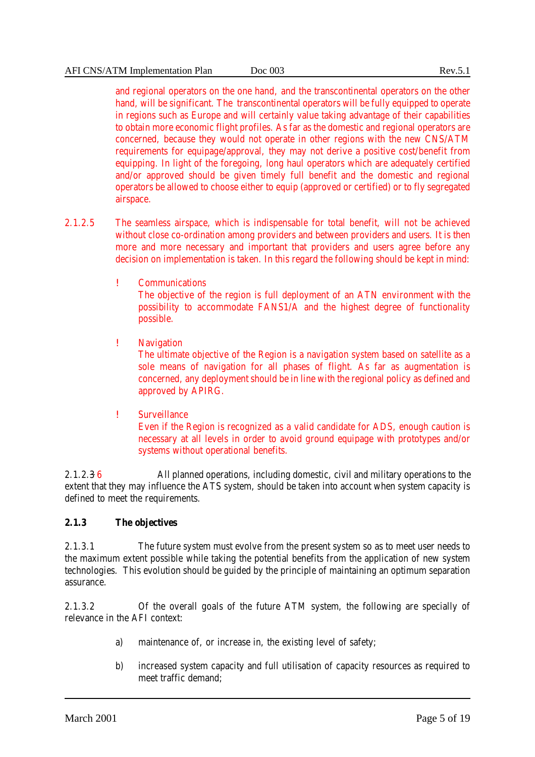and regional operators on the one hand, and the transcontinental operators on the other hand, will be significant. The transcontinental operators will be fully equipped to operate in regions such as Europe and will certainly value taking advantage of their capabilities to obtain more economic flight profiles. As far as the domestic and regional operators are concerned, because they would not operate in other regions with the new CNS/ATM requirements for equipage/approval, they may not derive a positive cost/benefit from equipping. In light of the foregoing, long haul operators which are adequately certified and/or approved should be given timely full benefit and the domestic and regional operators be allowed to choose either to equip (approved or certified) or to fly segregated airspace.

- 2.1.2.5 The seamless airspace, which is indispensable for total benefit, will not be achieved without close co-ordination among providers and between providers and users. It is then more and more necessary and important that providers and users agree before any decision on implementation is taken. In this regard the following should be kept in mind:
	- ! Communications The objective of the region is full deployment of an ATN environment with the possibility to accommodate FANS1/A and the highest degree of functionality possible.
	- ! Navigation

The ultimate objective of the Region is a navigation system based on satellite as a sole means of navigation for all phases of flight. As far as augmentation is concerned, any deployment should be in line with the regional policy as defined and approved by APIRG.

! Surveillance

Even if the Region is recognized as a valid candidate for ADS, enough caution is necessary at all levels in order to avoid ground equipage with prototypes and/or systems without operational benefits.

2.1.2.3 6 All planned operations, including domestic, civil and military operations to the extent that they may influence the ATS system, should be taken into account when system capacity is defined to meet the requirements.

# **2.1.3 The objectives**

2.1.3.1 The future system must evolve from the present system so as to meet user needs to the maximum extent possible while taking the potential benefits from the application of new system technologies. This evolution should be guided by the principle of maintaining an optimum separation assurance.

2.1.3.2 Of the overall goals of the future ATM system, the following are specially of relevance in the AFI context:

- a) maintenance of, or increase in, the existing level of safety;
- b) increased system capacity and full utilisation of capacity resources as required to meet traffic demand;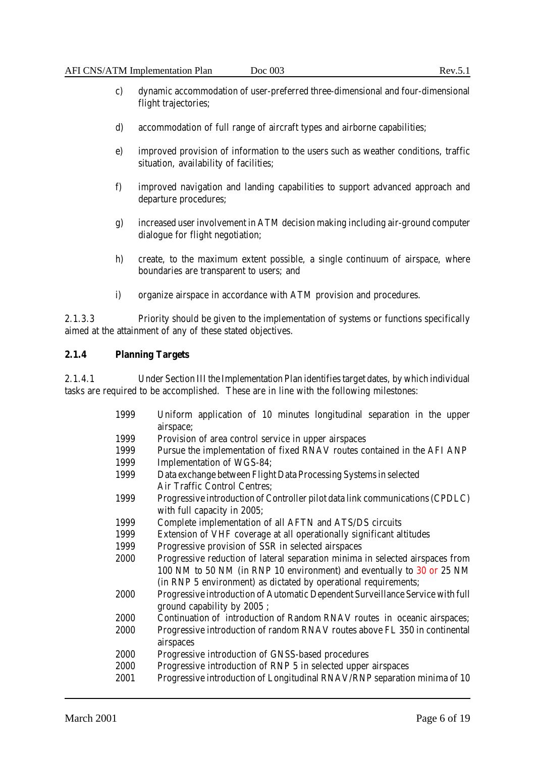- c) dynamic accommodation of user-preferred three-dimensional and four-dimensional flight trajectories;
- d) accommodation of full range of aircraft types and airborne capabilities;
- e) improved provision of information to the users such as weather conditions, traffic situation, availability of facilities;
- f) improved navigation and landing capabilities to support advanced approach and departure procedures;
- g) increased user involvement in ATM decision making including air-ground computer dialogue for flight negotiation;
- h) create, to the maximum extent possible, a single continuum of airspace, where boundaries are transparent to users; and
- i) organize airspace in accordance with ATM provision and procedures.

2.1.3.3 Priority should be given to the implementation of systems or functions specifically aimed at the attainment of any of these stated objectives.

# **2.1.4 Planning Targets**

2.1.4.1 Under Section III the Implementation Plan identifies target dates, by which individual tasks are required to be accomplished. These are in line with the following milestones:

> 1999 Uniform application of 10 minutes longitudinal separation in the upper airspace; 1999 Provision of area control service in upper airspaces 1999 Pursue the implementation of fixed RNAV routes contained in the AFI ANP 1999 Implementation of WGS-84; 1999 Data exchange between Flight Data Processing Systems in selected Air Traffic Control Centres; 1999 Progressive introduction of Controller pilot data link communications (CPDLC) with full capacity in 2005; 1999 Complete implementation of all AFTN and ATS/DS circuits 1999 Extension of VHF coverage at all operationally significant altitudes 1999 Progressive provision of SSR in selected airspaces 2000 Progressive reduction of lateral separation minima in selected airspaces from 100 NM to 50 NM (in RNP 10 environment) and eventually to 30 or 25 NM (in RNP 5 environment) as dictated by operational requirements; 2000 Progressive introduction of Automatic Dependent Surveillance Service with full ground capability by 2005 ; 2000 Continuation of introduction of Random RNAV routes in oceanic airspaces; 2000 Progressive introduction of random RNAV routes above FL 350 in continental airspaces 2000 Progressive introduction of GNSS-based procedures 2000 Progressive introduction of RNP 5 in selected upper airspaces 2001 Progressive introduction of Longitudinal RNAV/RNP separation minima of 10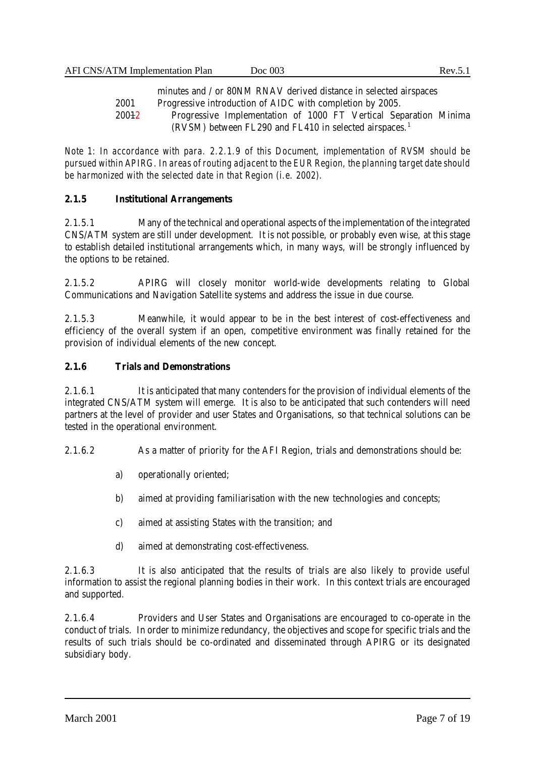minutes and / or 80NM RNAV derived distance in selected airspaces 2001 Progressive introduction of AIDC with completion by 2005. 20012 Progressive Implementation of 1000 FT Vertical Separation Minima (RVSM) between FL290 and FL410 in selected airspaces.<sup>1</sup>

*Note 1: In accordance with para. 2.2.1.9 of this Document, implementation of RVSM should be pursued within APIRG. In areas of routing adjacent to the EUR Region, the planning target date should be harmonized with the selected date in that Region (i.e. 2002).*

### **2.1.5 Institutional Arrangements**

2.1.5.1 Many of the technical and operational aspects of the implementation of the integrated CNS/ATM system are still under development. It is not possible, or probably even wise, at this stage to establish detailed institutional arrangements which, in many ways, will be strongly influenced by the options to be retained.

2.1.5.2 APIRG will closely monitor world-wide developments relating to Global Communications and Navigation Satellite systems and address the issue in due course.

2.1.5.3 Meanwhile, it would appear to be in the best interest of cost-effectiveness and efficiency of the overall system if an open, competitive environment was finally retained for the provision of individual elements of the new concept.

### **2.1.6 Trials and Demonstrations**

2.1.6.1 It is anticipated that many contenders for the provision of individual elements of the integrated CNS/ATM system will emerge. It is also to be anticipated that such contenders will need partners at the level of provider and user States and Organisations, so that technical solutions can be tested in the operational environment.

2.1.6.2 As a matter of priority for the AFI Region, trials and demonstrations should be:

- a) operationally oriented;
- b) aimed at providing familiarisation with the new technologies and concepts;
- c) aimed at assisting States with the transition; and
- d) aimed at demonstrating cost-effectiveness.

2.1.6.3 It is also anticipated that the results of trials are also likely to provide useful information to assist the regional planning bodies in their work. In this context trials are encouraged and supported.

2.1.6.4 Providers and User States and Organisations are encouraged to co-operate in the conduct of trials. In order to minimize redundancy, the objectives and scope for specific trials and the results of such trials should be co-ordinated and disseminated through APIRG or its designated subsidiary body.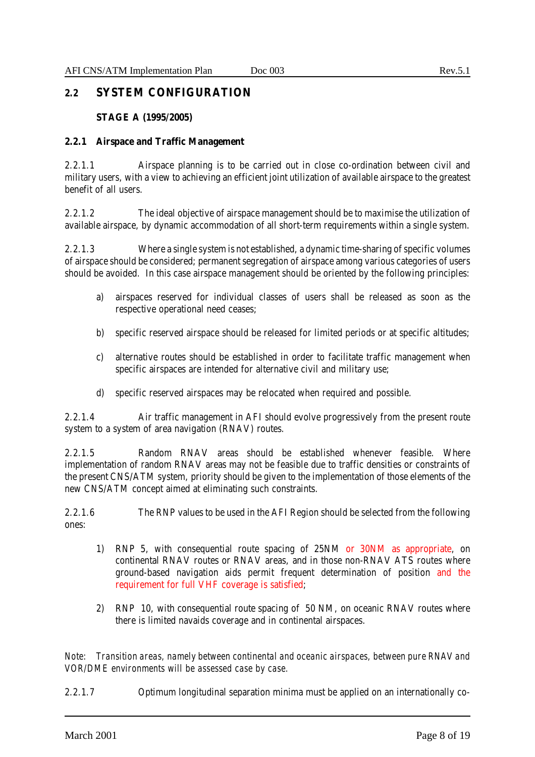# **2.2 SYSTEM CONFIGURATION**

### **STAGE A (1995/2005)**

### **2.2.1 Airspace and Traffic Management**

2.2.1.1 Airspace planning is to be carried out in close co-ordination between civil and military users, with a view to achieving an efficient joint utilization of available airspace to the greatest benefit of all users.

2.2.1.2 The ideal objective of airspace management should be to maximise the utilization of available airspace, by dynamic accommodation of all short-term requirements within a single system.

2.2.1.3 Where a single system is not established, a dynamic time-sharing of specific volumes of airspace should be considered; permanent segregation of airspace among various categories of users should be avoided. In this case airspace management should be oriented by the following principles:

- a) airspaces reserved for individual classes of users shall be released as soon as the respective operational need ceases;
- b) specific reserved airspace should be released for limited periods or at specific altitudes;
- c) alternative routes should be established in order to facilitate traffic management when specific airspaces are intended for alternative civil and military use;
- d) specific reserved airspaces may be relocated when required and possible.

2.2.1.4 Air traffic management in AFI should evolve progressively from the present route system to a system of area navigation (RNAV) routes.

2.2.1.5 Random RNAV areas should be established whenever feasible. Where implementation of random RNAV areas may not be feasible due to traffic densities or constraints of the present CNS/ATM system, priority should be given to the implementation of those elements of the new CNS/ATM concept aimed at eliminating such constraints.

2.2.1.6 The RNP values to be used in the AFI Region should be selected from the following ones:

- 1) RNP 5, with consequential route spacing of 25NM or 30NM as appropriate, on continental RNAV routes or RNAV areas, and in those non-RNAV ATS routes where ground-based navigation aids permit frequent determination of position and the requirement for full VHF coverage is satisfied;
- 2) RNP 10, with consequential route spacing of 50 NM, on oceanic RNAV routes where there is limited navaids coverage and in continental airspaces.

*Note: Transition areas, namely between continental and oceanic airspaces, between pure RNAV and VOR/DME environments will be assessed case by case.*

2.2.1.7 Optimum longitudinal separation minima must be applied on an internationally co-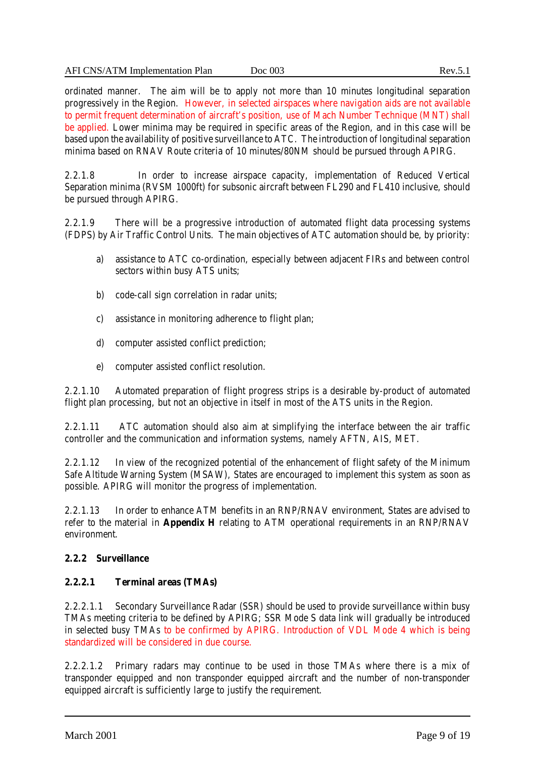ordinated manner. The aim will be to apply not more than 10 minutes longitudinal separation progressively in the Region. However, in selected airspaces where navigation aids are not available to permit frequent determination of aircraft's position, use of Mach Number Technique (MNT) shall be applied. Lower minima may be required in specific areas of the Region, and in this case will be based upon the availability of positive surveillance to ATC. The introduction of longitudinal separation minima based on RNAV Route criteria of 10 minutes/80NM should be pursued through APIRG.

2.2.1.8 In order to increase airspace capacity, implementation of Reduced Vertical Separation minima (RVSM 1000ft) for subsonic aircraft between FL290 and FL410 inclusive, should be pursued through APIRG.

2.2.1.9 There will be a progressive introduction of automated flight data processing systems (FDPS) by Air Traffic Control Units. The main objectives of ATC automation should be, by priority:

- a) assistance to ATC co-ordination, especially between adjacent FIRs and between control sectors within busy ATS units;
- b) code-call sign correlation in radar units;
- c) assistance in monitoring adherence to flight plan;
- d) computer assisted conflict prediction;
- e) computer assisted conflict resolution.

2.2.1.10 Automated preparation of flight progress strips is a desirable by-product of automated flight plan processing, but not an objective in itself in most of the ATS units in the Region.

2.2.1.11 ATC automation should also aim at simplifying the interface between the air traffic controller and the communication and information systems, namely AFTN, AIS, MET.

2.2.1.12 In view of the recognized potential of the enhancement of flight safety of the Minimum Safe Altitude Warning System (MSAW), States are encouraged to implement this system as soon as possible. APIRG will monitor the progress of implementation.

2.2.1.13 In order to enhance ATM benefits in an RNP/RNAV environment, States are advised to refer to the material in **Appendix H** relating to ATM operational requirements in an RNP/RNAV environment.

# **2.2.2 Surveillance**

# **2.2.2.1 Terminal areas (TMAs)**

2.2.2.1.1 Secondary Surveillance Radar (SSR) should be used to provide surveillance within busy TMAs meeting criteria to be defined by APIRG; SSR Mode S data link will gradually be introduced in selected busy TMAs to be confirmed by APIRG. Introduction of VDL Mode 4 which is being standardized will be considered in due course.

2.2.2.1.2 Primary radars may continue to be used in those TMAs where there is a mix of transponder equipped and non transponder equipped aircraft and the number of non-transponder equipped aircraft is sufficiently large to justify the requirement.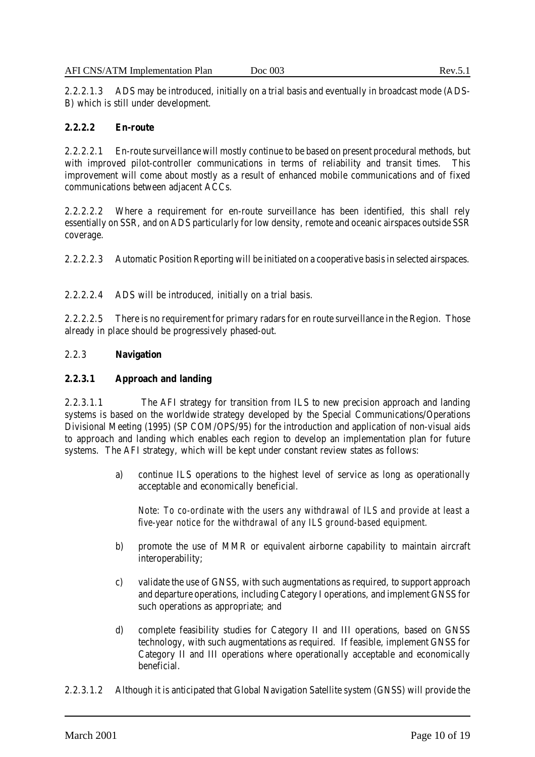# **2.2.2.2 En-route**

2.2.2.2.1 En-route surveillance will mostly continue to be based on present procedural methods, but with improved pilot-controller communications in terms of reliability and transit times. This improvement will come about mostly as a result of enhanced mobile communications and of fixed communications between adjacent ACCs.

2.2.2.2.2 Where a requirement for en-route surveillance has been identified, this shall rely essentially on SSR, and on ADS particularly for low density, remote and oceanic airspaces outside SSR coverage.

2.2.2.2.3 Automatic Position Reporting will be initiated on a cooperative basis in selected airspaces.

2.2.2.2.4 ADS will be introduced, initially on a trial basis.

2.2.2.2.5 There is no requirement for primary radars for en route surveillance in the Region. Those already in place should be progressively phased-out.

# 2.2.3 **Navigation**

# **2.2.3.1 Approach and landing**

2.2.3.1.1 The AFI strategy for transition from ILS to new precision approach and landing systems is based on the worldwide strategy developed by the Special Communications/Operations Divisional Meeting (1995) (SP COM/OPS/95) for the introduction and application of non-visual aids to approach and landing which enables each region to develop an implementation plan for future systems. The AFI strategy, which will be kept under constant review states as follows:

> a) continue ILS operations to the highest level of service as long as operationally acceptable and economically beneficial.

*Note: To co-ordinate with the users any withdrawal of ILS and provide at least a five-year notice for the withdrawal of any ILS ground-based equipment.*

- b) promote the use of MMR or equivalent airborne capability to maintain aircraft interoperability;
- c) validate the use of GNSS, with such augmentations as required, to support approach and departure operations, including Category I operations, and implement GNSS for such operations as appropriate; and
- d) complete feasibility studies for Category II and III operations, based on GNSS technology, with such augmentations as required. If feasible, implement GNSS for Category II and III operations where operationally acceptable and economically beneficial.
- 2.2.3.1.2 Although it is anticipated that Global Navigation Satellite system (GNSS) will provide the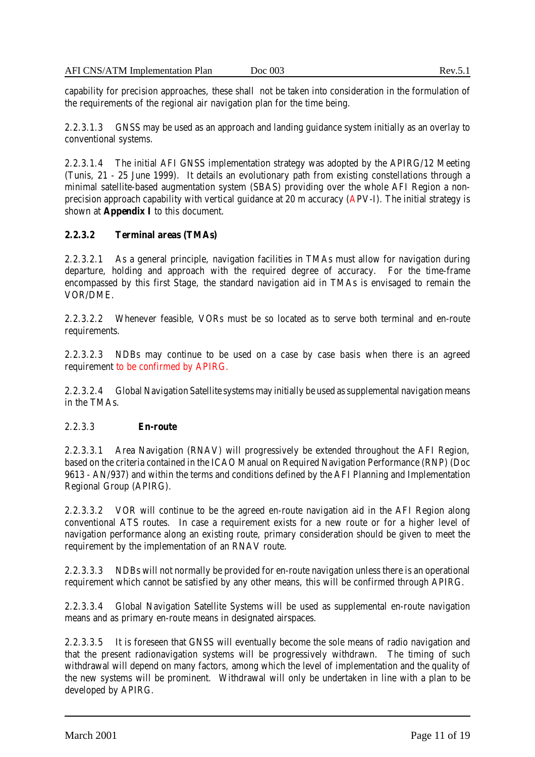capability for precision approaches, these shall not be taken into consideration in the formulation of the requirements of the regional air navigation plan for the time being.

2.2.3.1.3 GNSS may be used as an approach and landing guidance system initially as an overlay to conventional systems.

2.2.3.1.4 The initial AFI GNSS implementation strategy was adopted by the APIRG/12 Meeting (Tunis, 21 - 25 June 1999). It details an evolutionary path from existing constellations through a minimal satellite-based augmentation system (SBAS) providing over the whole AFI Region a nonprecision approach capability with vertical guidance at 20 m accuracy (APV-I). The initial strategy is shown at **Appendix I** to this document.

# **2.2.3.2 Terminal areas (TMAs)**

2.2.3.2.1 As a general principle, navigation facilities in TMAs must allow for navigation during departure, holding and approach with the required degree of accuracy. For the time-frame encompassed by this first Stage, the standard navigation aid in TMAs is envisaged to remain the VOR/DME.

2.2.3.2.2 Whenever feasible, VORs must be so located as to serve both terminal and en-route requirements.

2.2.3.2.3 NDBs may continue to be used on a case by case basis when there is an agreed requirement to be confirmed by APIRG.

2.2.3.2.4 Global Navigation Satellite systems may initially be used as supplemental navigation means in the TMAs.

#### 2.2.3.3 **En-route**

2.2.3.3.1 Area Navigation (RNAV) will progressively be extended throughout the AFI Region, based on the criteria contained in the ICAO Manual on Required Navigation Performance (RNP) (Doc 9613 - AN/937) and within the terms and conditions defined by the AFI Planning and Implementation Regional Group (APIRG).

2.2.3.3.2 VOR will continue to be the agreed en-route navigation aid in the AFI Region along conventional ATS routes. In case a requirement exists for a new route or for a higher level of navigation performance along an existing route, primary consideration should be given to meet the requirement by the implementation of an RNAV route.

2.2.3.3.3 NDBs will not normally be provided for en-route navigation unless there is an operational requirement which cannot be satisfied by any other means, this will be confirmed through APIRG.

2.2.3.3.4 Global Navigation Satellite Systems will be used as supplemental en-route navigation means and as primary en-route means in designated airspaces.

2.2.3.3.5 It is foreseen that GNSS will eventually become the sole means of radio navigation and that the present radionavigation systems will be progressively withdrawn. The timing of such withdrawal will depend on many factors, among which the level of implementation and the quality of the new systems will be prominent. Withdrawal will only be undertaken in line with a plan to be developed by APIRG.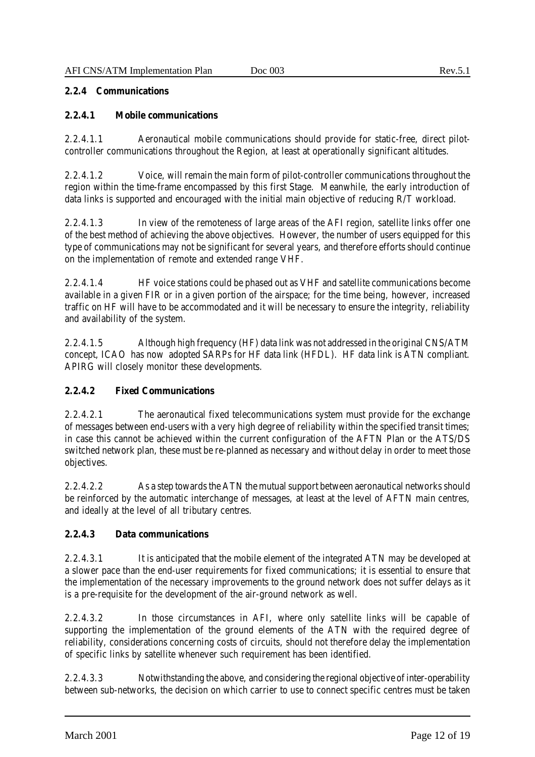### **2.2.4 Communications**

## **2.2.4.1 Mobile communications**

2.2.4.1.1 Aeronautical mobile communications should provide for static-free, direct pilotcontroller communications throughout the Region, at least at operationally significant altitudes.

2.2.4.1.2 Voice, will remain the main form of pilot-controller communications throughout the region within the time-frame encompassed by this first Stage. Meanwhile, the early introduction of data links is supported and encouraged with the initial main objective of reducing R/T workload.

2.2.4.1.3 In view of the remoteness of large areas of the AFI region, satellite links offer one of the best method of achieving the above objectives. However, the number of users equipped for this type of communications may not be significant for several years, and therefore efforts should continue on the implementation of remote and extended range VHF.

2.2.4.1.4 HF voice stations could be phased out as VHF and satellite communications become available in a given FIR or in a given portion of the airspace; for the time being, however, increased traffic on HF will have to be accommodated and it will be necessary to ensure the integrity, reliability and availability of the system.

2.2.4.1.5 Although high frequency (HF) data link was not addressed in the original CNS/ATM concept, ICAO has now adopted SARPs for HF data link (HFDL). HF data link is ATN compliant. APIRG will closely monitor these developments.

# **2.2.4.2 Fixed Communications**

2.2.4.2.1 The aeronautical fixed telecommunications system must provide for the exchange of messages between end-users with a very high degree of reliability within the specified transit times; in case this cannot be achieved within the current configuration of the AFTN Plan or the ATS/DS switched network plan, these must be re-planned as necessary and without delay in order to meet those objectives.

2.2.4.2.2 As a step towards the ATN the mutual support between aeronautical networks should be reinforced by the automatic interchange of messages, at least at the level of AFTN main centres, and ideally at the level of all tributary centres.

# **2.2.4.3 Data communications**

2.2.4.3.1 It is anticipated that the mobile element of the integrated ATN may be developed at a slower pace than the end-user requirements for fixed communications; it is essential to ensure that the implementation of the necessary improvements to the ground network does not suffer delays as it is a pre-requisite for the development of the air-ground network as well.

2.2.4.3.2 In those circumstances in AFI, where only satellite links will be capable of supporting the implementation of the ground elements of the ATN with the required degree of reliability, considerations concerning costs of circuits, should not therefore delay the implementation of specific links by satellite whenever such requirement has been identified.

2.2.4.3.3 Notwithstanding the above, and considering the regional objective of inter-operability between sub-networks, the decision on which carrier to use to connect specific centres must be taken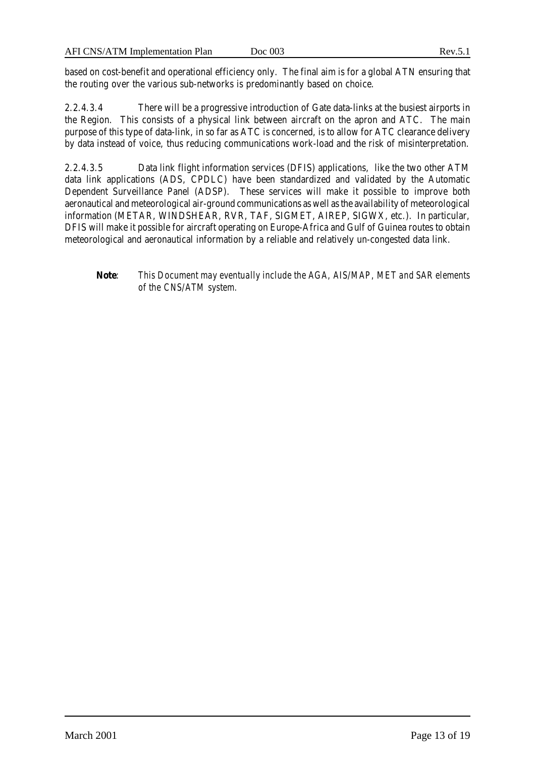based on cost-benefit and operational efficiency only. The final aim is for a global ATN ensuring that the routing over the various sub-networks is predominantly based on choice.

2.2.4.3.4 There will be a progressive introduction of Gate data-links at the busiest airports in the Region. This consists of a physical link between aircraft on the apron and ATC. The main purpose of this type of data-link, in so far as ATC is concerned, is to allow for ATC clearance delivery by data instead of voice, thus reducing communications work-load and the risk of misinterpretation.

2.2.4.3.5 Data link flight information services (DFIS) applications, like the two other ATM data link applications (ADS, CPDLC) have been standardized and validated by the Automatic Dependent Surveillance Panel (ADSP). These services will make it possible to improve both aeronautical and meteorological air-ground communications as well as the availability of meteorological information (METAR, WINDSHEAR, RVR, TAF, SIGMET, AIREP, SIGWX, etc.). In particular, DFIS will make it possible for aircraft operating on Europe-Africa and Gulf of Guinea routes to obtain meteorological and aeronautical information by a reliable and relatively un-congested data link.

# **Note**: *This Document may eventually include the AGA, AIS/MAP, MET and SAR elements of the CNS/ATM system.*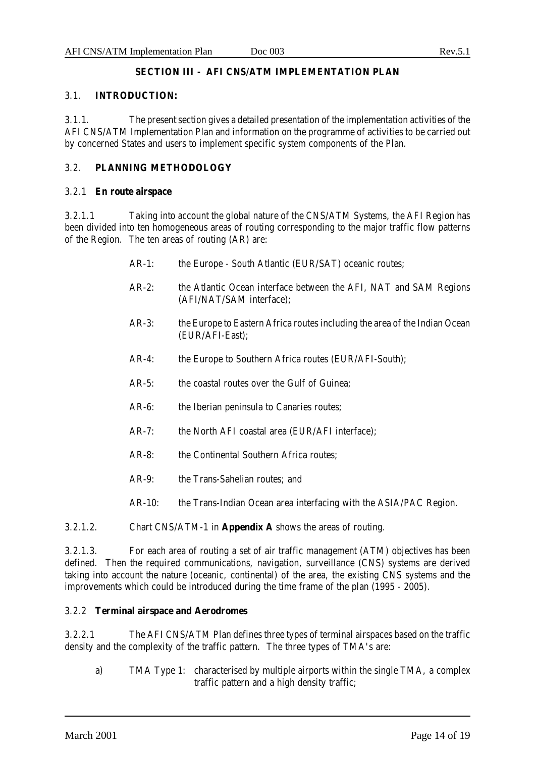# **SECTION III - AFI CNS/ATM IMPLEMENTATION PLAN**

# 3.1. **INTRODUCTION:**

3.1.1. The present section gives a detailed presentation of the implementation activities of the AFI CNS/ATM Implementation Plan and information on the programme of activities to be carried out by concerned States and users to implement specific system components of the Plan.

# 3.2. **PLANNING METHODOLOGY**

### 3.2.1 **En route airspace**

3.2.1.1 Taking into account the global nature of the CNS/ATM Systems, the AFI Region has been divided into ten homogeneous areas of routing corresponding to the major traffic flow patterns of the Region. The ten areas of routing (AR) are:

- AR-1: the Europe South Atlantic (EUR/SAT) oceanic routes;
- AR-2: the Atlantic Ocean interface between the AFI, NAT and SAM Regions (AFI/NAT/SAM interface);
- AR-3: the Europe to Eastern Africa routes including the area of the Indian Ocean (EUR/AFI-East);
- AR-4: the Europe to Southern Africa routes (EUR/AFI-South);
- AR-5: the coastal routes over the Gulf of Guinea:
- AR-6: the Iberian peninsula to Canaries routes;
- AR-7: the North AFI coastal area (EUR/AFI interface);
- AR-8: the Continental Southern Africa routes:
- AR-9: the Trans-Sahelian routes: and
- AR-10: the Trans-Indian Ocean area interfacing with the ASIA/PAC Region.

# 3.2.1.2. Chart CNS/ATM-1 in **Appendix A** shows the areas of routing.

3.2.1.3. For each area of routing a set of air traffic management (ATM) objectives has been defined. Then the required communications, navigation, surveillance (CNS) systems are derived taking into account the nature (oceanic, continental) of the area, the existing CNS systems and the improvements which could be introduced during the time frame of the plan (1995 - 2005).

#### 3.2.2 **Terminal airspace and Aerodromes**

3.2.2.1 The AFI CNS/ATM Plan defines three types of terminal airspaces based on the traffic density and the complexity of the traffic pattern. The three types of TMA's are:

a) TMA Type 1: characterised by multiple airports within the single TMA, a complex traffic pattern and a high density traffic;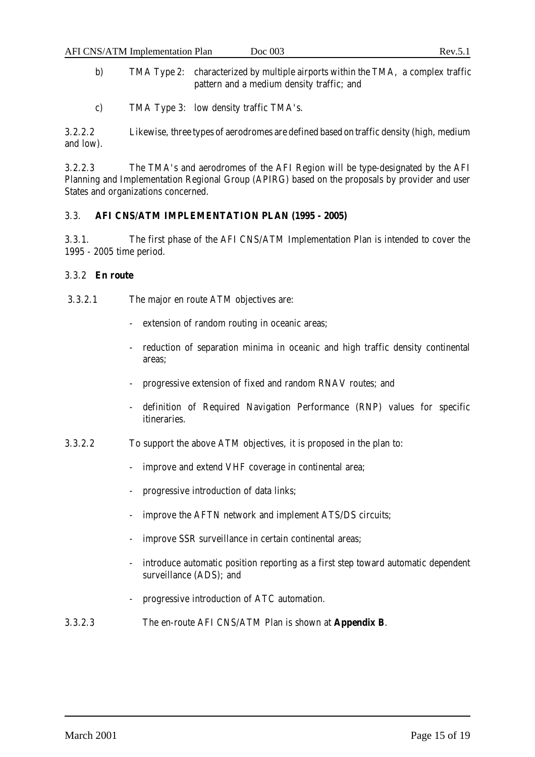- b) TMA Type 2: characterized by multiple airports within the TMA, a complex traffic pattern and a medium density traffic; and
- c) TMA Type 3: low density traffic TMA's.

3.2.2.2 Likewise, three types of aerodromes are defined based on traffic density (high, medium and low).

3.2.2.3 The TMA's and aerodromes of the AFI Region will be type-designated by the AFI Planning and Implementation Regional Group (APIRG) based on the proposals by provider and user States and organizations concerned.

# 3.3. **AFI CNS/ATM IMPLEMENTATION PLAN (1995 - 2005)**

3.3.1. The first phase of the AFI CNS/ATM Implementation Plan is intended to cover the 1995 - 2005 time period.

# 3.3.2 **En route**

- 3.3.2.1 The major en route ATM objectives are:
	- extension of random routing in oceanic areas;
	- reduction of separation minima in oceanic and high traffic density continental areas;
	- progressive extension of fixed and random RNAV routes; and
	- definition of Required Navigation Performance (RNP) values for specific itineraries.
- 3.3.2.2 To support the above ATM objectives, it is proposed in the plan to:
	- improve and extend VHF coverage in continental area;
	- progressive introduction of data links;
	- improve the AFTN network and implement ATS/DS circuits;
	- improve SSR surveillance in certain continental areas;
	- introduce automatic position reporting as a first step toward automatic dependent surveillance (ADS); and
	- progressive introduction of ATC automation.
- 3.3.2.3 The en-route AFI CNS/ATM Plan is shown at **Appendix B**.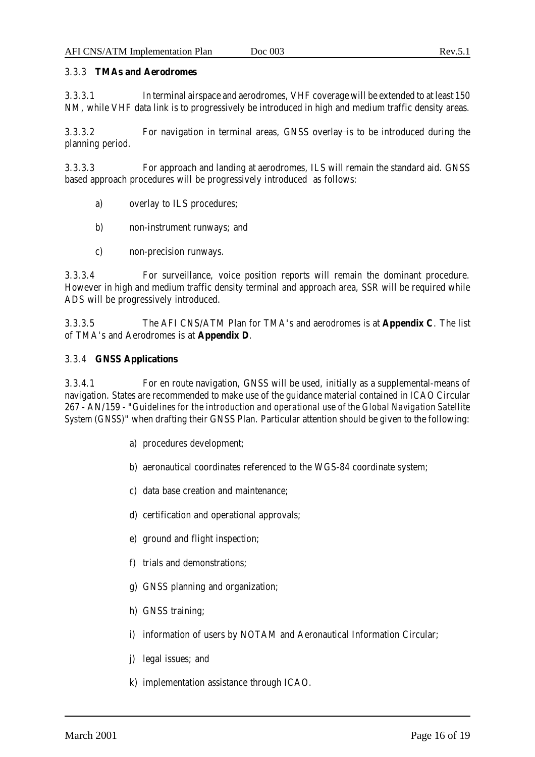### 3.3.3 **TMAs and Aerodromes**

3.3.3.1 In terminal airspace and aerodromes, VHF coverage will be extended to at least 150 NM, while VHF data link is to progressively be introduced in high and medium traffic density areas.

3.3.3.2 For navigation in terminal areas, GNSS overlay is to be introduced during the planning period.

3.3.3.3 For approach and landing at aerodromes, ILS will remain the standard aid. GNSS based approach procedures will be progressively introduced as follows:

- a) overlay to ILS procedures;
- b) non-instrument runways; and
- c) non-precision runways.

3.3.3.4 For surveillance, voice position reports will remain the dominant procedure. However in high and medium traffic density terminal and approach area, SSR will be required while ADS will be progressively introduced.

3.3.3.5 The AFI CNS/ATM Plan for TMA's and aerodromes is at **Appendix C**. The list of TMA's and Aerodromes is at **Appendix D**.

### 3.3.4 **GNSS Applications**

3.3.4.1 For en route navigation, GNSS will be used, initially as a supplemental-means of navigation. States are recommended to make use of the guidance material contained in ICAO Circular 267 - AN/159 - "*Guidelines for the introduction and operational use of the Global Navigation Satellite System (GNSS)*" when drafting their GNSS Plan. Particular attention should be given to the following:

- a) procedures development;
- b) aeronautical coordinates referenced to the WGS-84 coordinate system;
- c) data base creation and maintenance;
- d) certification and operational approvals;
- e) ground and flight inspection;
- f) trials and demonstrations;
- g) GNSS planning and organization;
- h) GNSS training;
- i) information of users by NOTAM and Aeronautical Information Circular;
- j) legal issues; and
- k) implementation assistance through ICAO.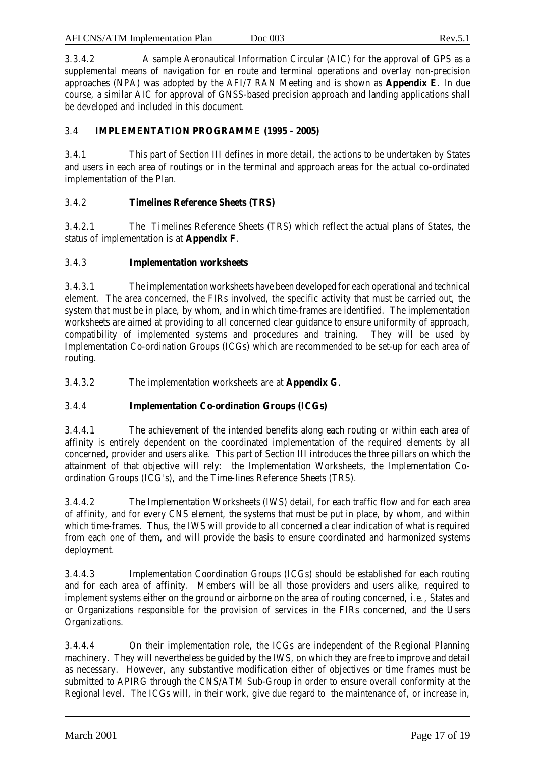| <b>AFI CNS/ATM Implementation Plan</b> | Doc 003 | Rev.5.1 |
|----------------------------------------|---------|---------|
|                                        |         |         |

3.3.4.2 A sample Aeronautical Information Circular (AIC) for the approval of GPS as a *supplemental* means of navigation for en route and terminal operations and overlay non-precision approaches (NPA) was adopted by the AFI/7 RAN Meeting and is shown as **Appendix E**. In due course, a similar AIC for approval of GNSS-based precision approach and landing applications shall be developed and included in this document.

# 3.4 **IMPLEMENTATION PROGRAMME (1995 - 2005)**

3.4.1 This part of Section III defines in more detail, the actions to be undertaken by States and users in each area of routings or in the terminal and approach areas for the actual co-ordinated implementation of the Plan.

# 3.4.2 **Timelines Reference Sheets (TRS)**

3.4.2.1 The Timelines Reference Sheets (TRS) which reflect the actual plans of States, the status of implementation is at **Appendix F**.

# 3.4.3 **Implementation worksheets**

3.4.3.1 The implementation worksheets have been developed for each operational and technical element. The area concerned, the FIRs involved, the specific activity that must be carried out, the system that must be in place, by whom, and in which time-frames are identified. The implementation worksheets are aimed at providing to all concerned clear guidance to ensure uniformity of approach, compatibility of implemented systems and procedures and training. They will be used by Implementation Co-ordination Groups (ICGs) which are recommended to be set-up for each area of routing.

3.4.3.2 The implementation worksheets are at **Appendix G**.

# 3.4.4 **Implementation Co-ordination Groups (ICGs)**

3.4.4.1 The achievement of the intended benefits along each routing or within each area of affinity is entirely dependent on the coordinated implementation of the required elements by all concerned, provider and users alike. This part of Section III introduces the three pillars on which the attainment of that objective will rely: the Implementation Worksheets, the Implementation Coordination Groups (ICG's), and the Time-lines Reference Sheets (TRS).

3.4.4.2 The Implementation Worksheets (IWS) detail, for each traffic flow and for each area of affinity, and for every CNS element, the systems that must be put in place, by whom, and within which time-frames. Thus, the IWS will provide to all concerned a clear indication of what is required from each one of them, and will provide the basis to ensure coordinated and harmonized systems deployment.

3.4.4.3 Implementation Coordination Groups (ICGs) should be established for each routing and for each area of affinity. Members will be all those providers and users alike, required to implement systems either on the ground or airborne on the area of routing concerned, i.e., States and or Organizations responsible for the provision of services in the FIRs concerned, and the Users Organizations.

3.4.4.4 On their implementation role, the ICGs are independent of the Regional Planning machinery. They will nevertheless be guided by the IWS, on which they are free to improve and detail as necessary. However, any substantive modification either of objectives or time frames must be submitted to APIRG through the CNS/ATM Sub-Group in order to ensure overall conformity at the Regional level. The ICGs will, in their work, give due regard to the maintenance of, or increase in,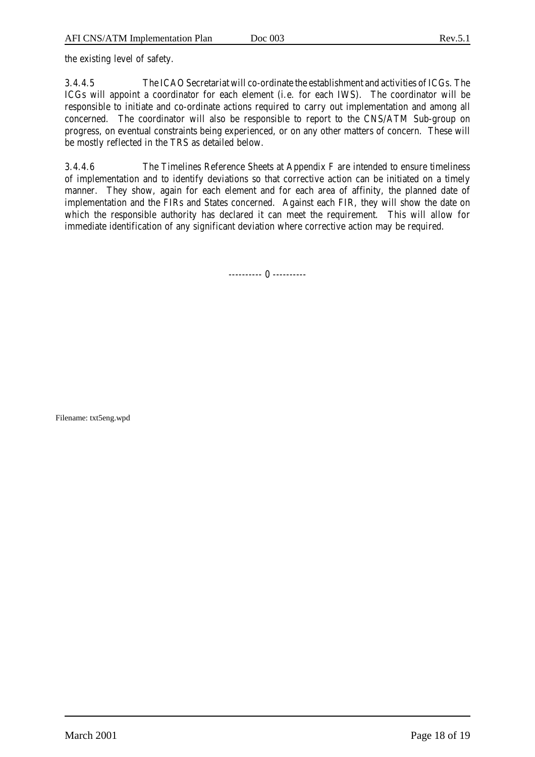the existing level of safety.

3.4.4.5 The ICAO Secretariat will co-ordinate the establishment and activities of ICGs. The ICGs will appoint a coordinator for each element (i.e. for each IWS). The coordinator will be responsible to initiate and co-ordinate actions required to carry out implementation and among all concerned. The coordinator will also be responsible to report to the CNS/ATM Sub-group on progress, on eventual constraints being experienced, or on any other matters of concern. These will be mostly reflected in the TRS as detailed below.

3.4.4.6 The Timelines Reference Sheets at Appendix F are intended to ensure timeliness of implementation and to identify deviations so that corrective action can be initiated on a timely manner. They show, again for each element and for each area of affinity, the planned date of implementation and the FIRs and States concerned. Against each FIR, they will show the date on which the responsible authority has declared it can meet the requirement. This will allow for immediate identification of any significant deviation where corrective action may be required.

---------- 0 ----------

Filename: txt5eng.wpd